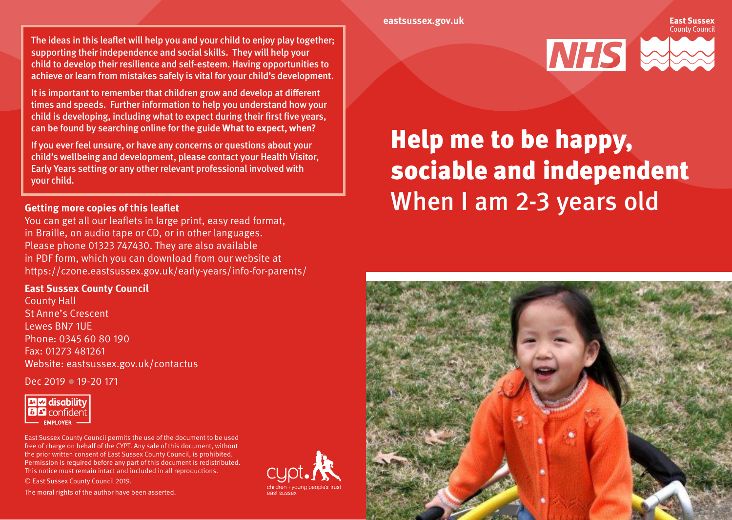#### **eastsussex.gov.uk**

The ideas in this leaflet will help you and your child to enjoy play together; supporting their independence and social skills. They will help your child to develop their resilience and self-esteem. Having opportunities to achieve or learn from mistakes safely is vital for your child's development.

It is important to remember that children grow and develop at different times and speeds. Further information to help you understand how your child is developing, including what to expect during their first five years, can be found by searching online for the guide **What to expect, when?**

If you ever feel unsure, or have any concerns or questions about your child's wellbeing and development, please contact your Health Visitor, Early Years setting or any other relevant professional involved with your child.

### **Getting more copies of this leaflet**

You can get all our leaflets in large print, easy read format, in Braille, on audio tape or CD, or in other languages. Please phone 01323 747430. They are also available in PDF form, which you can download from our website at https://czone.eastsussex.gov.uk/early-years/info-for-parents/

### **East Sussex County Council**

County Hall St Anne's Crescent Lewes BN7 1UE Phone: 0345 60 80 190 Fax: 01273 481261 Website: eastsussex.gov.uk/contactus

Dec 2019 **19-20 171** 



East Sussex County Council permits the use of the document to be used free of charge on behalf of the CYPT. Any sale of this document, without the prior written consent of East Sussex County Council, is prohibited. Permission is required before any part of this document is redistributed. This notice must remain intact and included in all reproductions. © East Sussex County Council 2019.

The moral rights of the author have been asserted.





# Help me to be happy, sociable and independent When I am 2-3 years old